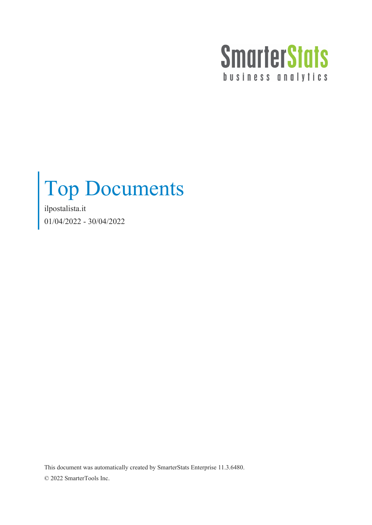

## Top Documents

ilpostalista.it 01/04/2022 - 30/04/2022

This document was automatically created by SmarterStats Enterprise 11.3.6480. © 2022 SmarterTools Inc.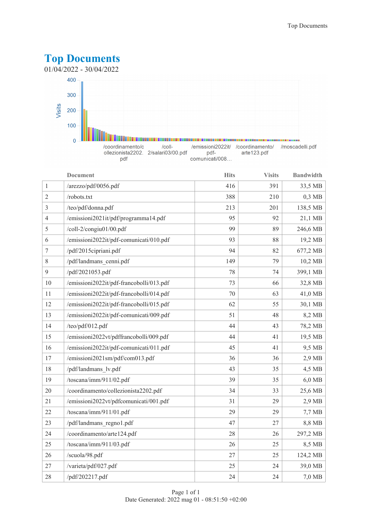

|                | <b>Document</b>                          | <b>Hits</b> | <b>Visits</b> | <b>Bandwidth</b> |
|----------------|------------------------------------------|-------------|---------------|------------------|
| $\mathbf{1}$   | /arezzo/pdf/0056.pdf                     | 416         | 391           | 33,5 MB          |
| $\sqrt{2}$     | /robots.txt                              | 388         | 210           | $0,3$ MB         |
| 3              | /teo/pdf/donna.pdf                       | 213         | 201           | 138,5 MB         |
| $\overline{4}$ | /emissioni2021it/pdf/programma14.pdf     | 95          | 92            | 21,1 MB          |
| 5              | /coll-2/congiu01/00.pdf                  | 99          | 89            | 246,6 MB         |
| 6              | /emissioni2022it/pdf-comunicati/010.pdf  | 93          | 88            | 19,2 MB          |
| 7              | /pdf/2015cipriani.pdf                    | 94          | 82            | 677,2 MB         |
| 8              | /pdf/landmans cenni.pdf                  | 149         | 79            | 10,2 MB          |
| 9              | /pdf/2021053.pdf                         | 78          | 74            | 399,1 MB         |
| 10             | /emissioni2022it/pdf-francobolli/013.pdf | 73          | 66            | 32,8 MB          |
| 11             | /emissioni2022it/pdf-francobolli/014.pdf | 70          | 63            | 41,0 MB          |
| 12             | /emissioni2022it/pdf-francobolli/015.pdf | 62          | 55            | 30,1 MB          |
| 13             | /emissioni2022it/pdf-comunicati/009.pdf  | 51          | 48            | 8,2 MB           |
| 14             | /teo/pdf/012.pdf                         | 44          | 43            | 78,2 MB          |
| 15             | /emissioni2022vt/pdffrancobolli/009.pdf  | 44          | 41            | 19,5 MB          |
| 16             | /emissioni2022it/pdf-comunicati/011.pdf  | 45          | 41            | 9,5 MB           |
| 17             | /emissioni2021sm/pdf/com013.pdf          | 36          | 36            | $2,9$ MB         |
| 18             | /pdf/landmans lv.pdf                     | 43          | 35            | 4,5 MB           |
| 19             | /toscana/imm/911/02.pdf                  | 39          | 35            | 6,0 MB           |
| 20             | /coordinamento/collezionista2202.pdf     | 34          | 33            | 25,6 MB          |
| 21             | /emissioni2022vt/pdfcomunicati/001.pdf   | 31          | 29            | $2,9$ MB         |
| 22             | /toscana/imm/911/01.pdf                  | 29          | 29            | $7,7$ MB         |
| 23             | /pdf/landmans_regno1.pdf                 | 47          | 27            | 8,8 MB           |
| 24             | /coordinamento/arte124.pdf               | 28          | 26            | 297,2 MB         |
| 25             | /toscana/imm/911/03.pdf                  | 26          | 25            | 8,5 MB           |
| 26             | /scuola/98.pdf                           | 27          | 25            | 124,2 MB         |
| 27             | /varieta/pdf/027.pdf                     | 25          | 24            | 39,0 MB          |
| 28             | /pdf/202217.pdf                          | 24          | 24            | 7,0 MB           |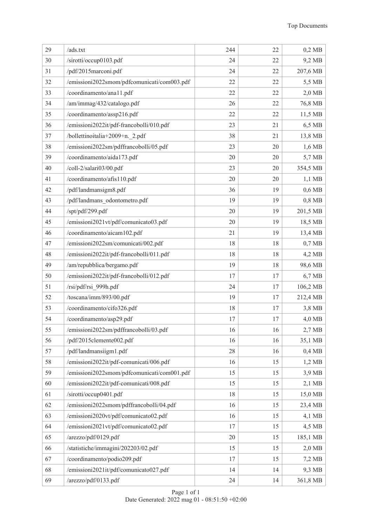| 29 | /ads.txt                                    | 244 | 22 | $0,2$ MB |
|----|---------------------------------------------|-----|----|----------|
| 30 | /sirotti/occup0103.pdf                      | 24  | 22 | 9,2 MB   |
| 31 | /pdf/2015marconi.pdf                        | 24  | 22 | 207,6 MB |
| 32 | /emissioni2022smom/pdfcomunicati/com003.pdf | 22  | 22 | 5,5 MB   |
| 33 | /coordinamento/ana11.pdf                    | 22  | 22 | $2,0$ MB |
| 34 | /am/immag/432/catalogo.pdf                  | 26  | 22 | 76,8 MB  |
| 35 | /coordinamento/assp216.pdf                  | 22  | 22 | 11,5 MB  |
| 36 | /emissioni2022it/pdf-francobolli/010.pdf    | 23  | 21 | 6,5 MB   |
| 37 | /bollettinoitalia+2009+n._2.pdf             | 38  | 21 | 13,8 MB  |
| 38 | /emissioni2022sm/pdffrancobolli/05.pdf      | 23  | 20 | 1,6 MB   |
| 39 | /coordinamento/aida173.pdf                  | 20  | 20 | 5,7 MB   |
| 40 | /coll-2/salari03/00.pdf                     | 23  | 20 | 354,5 MB |
| 41 | /coordinamento/afis110.pdf                  | 20  | 20 | $1,1$ MB |
| 42 | /pdf/landmansigm8.pdf                       | 36  | 19 | $0,6$ MB |
| 43 | /pdf/landmans_odontometro.pdf               | 19  | 19 | $0,8$ MB |
| 44 | /spt/pdf/299.pdf                            | 20  | 19 | 201,5 MB |
| 45 | /emissioni2021vt/pdf/comunicato03.pdf       | 20  | 19 | 18,5 MB  |
| 46 | /coordinamento/aicam102.pdf                 | 21  | 19 | 13,4 MB  |
| 47 | /emissioni2022sm/comunicati/002.pdf         | 18  | 18 | $0,7$ MB |
| 48 | /emissioni2022it/pdf-francobolli/011.pdf    | 18  | 18 | 4,2 MB   |
| 49 | /am/repubblica/bergamo.pdf                  | 19  | 18 | 98,6 MB  |
| 50 | /emissioni2022it/pdf-francobolli/012.pdf    | 17  | 17 | 6,7 MB   |
| 51 | /rsi/pdf/rsi_999h.pdf                       | 24  | 17 | 106,2 MB |
| 52 | /toscana/imm/893/00.pdf                     | 19  | 17 | 212,4 MB |
| 53 | /coordinamento/cifo326.pdf                  | 18  | 17 | 3,8 MB   |
| 54 | /coordinamento/asp29.pdf                    | 17  | 17 | 4,0 MB   |
| 55 | /emissioni2022sm/pdffrancobolli/03.pdf      | 16  | 16 | 2,7 MB   |
| 56 | /pdf/2015clemente002.pdf                    | 16  | 16 | 35,1 MB  |
| 57 | /pdf/landmansiigm1.pdf                      | 28  | 16 | $0,4$ MB |
| 58 | /emissioni2022it/pdf-comunicati/006.pdf     | 16  | 15 | $1,2$ MB |
| 59 | /emissioni2022smom/pdfcomunicati/com001.pdf | 15  | 15 | 3,9 MB   |
| 60 | /emissioni2022it/pdf-comunicati/008.pdf     | 15  | 15 | $2,1$ MB |
| 61 | /sirotti/occup0401.pdf                      | 18  | 15 | 15,0 MB  |
| 62 | /emissioni2022smom/pdffrancobolli/04.pdf    | 16  | 15 | 23,4 MB  |
| 63 | /emissioni2020vt/pdf/comunicato02.pdf       | 16  | 15 | $4,1$ MB |
| 64 | /emissioni2021vt/pdf/comunicato02.pdf       | 17  | 15 | 4,5 MB   |
| 65 | /arezzo/pdf/0129.pdf                        | 20  | 15 | 185,1 MB |
| 66 | /statistiche/immagini/202203/02.pdf         | 15  | 15 | 2,0 MB   |
| 67 | /coordinamento/podio209.pdf                 | 17  | 15 | 7,2 MB   |
| 68 | /emissioni2021it/pdf/comunicato027.pdf      | 14  | 14 | 9,3 MB   |
| 69 | /arezzo/pdf/0133.pdf                        | 24  | 14 | 361,8 MB |